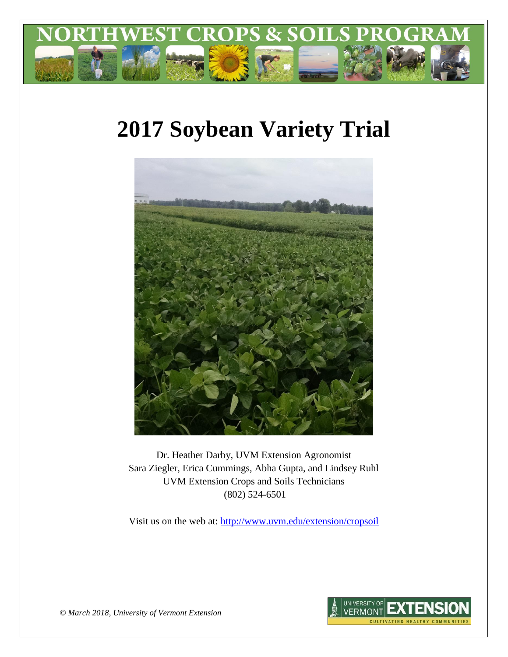

# **2017 Soybean Variety Trial**



Dr. Heather Darby, UVM Extension Agronomist Sara Ziegler, Erica Cummings, Abha Gupta, and Lindsey Ruhl UVM Extension Crops and Soils Technicians (802) 524-6501

Visit us on the web at: <http://www.uvm.edu/extension/cropsoil>



*© March 2018, University of Vermont Extension*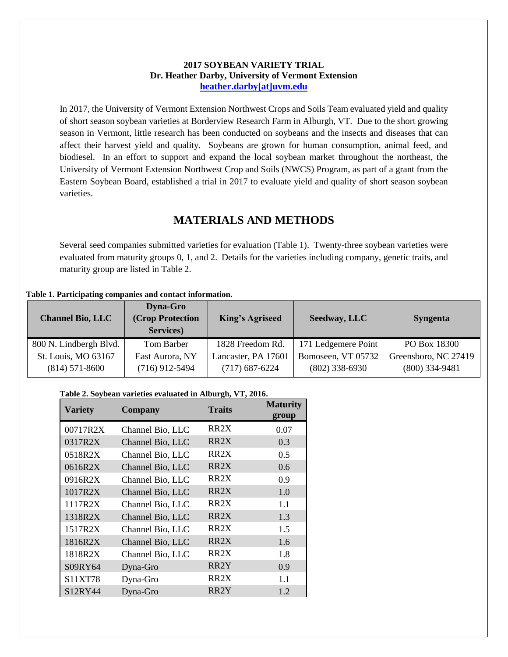#### **2017 SOYBEAN VARIETY TRIAL Dr. Heather Darby, University of Vermont Extension [heather.darby\[at\]uvm.edu](mailto:heather.darby@uvm.edu?subject=2012%20Short%20Season%20Corn%20Report)**

In 2017, the University of Vermont Extension Northwest Crops and Soils Team evaluated yield and quality of short season soybean varieties at Borderview Research Farm in Alburgh, VT. Due to the short growing season in Vermont, little research has been conducted on soybeans and the insects and diseases that can affect their harvest yield and quality. Soybeans are grown for human consumption, animal feed, and biodiesel. In an effort to support and expand the local soybean market throughout the northeast, the University of Vermont Extension Northwest Crop and Soils (NWCS) Program, as part of a grant from the Eastern Soybean Board, established a trial in 2017 to evaluate yield and quality of short season soybean varieties.

# **MATERIALS AND METHODS**

Several seed companies submitted varieties for evaluation (Table 1). Twenty-three soybean varieties were evaluated from maturity groups 0, 1, and 2. Details for the varieties including company, genetic traits, and maturity group are listed in Table 2.

#### **Table 1. Participating companies and contact information.**

| <b>Channel Bio, LLC</b>                 | <b>Dyna-Gro</b><br>(Crop Protection<br>Services) | <b>King's Agriseed</b>                  | Seedway, LLC                           | <b>Syngenta</b>                          |
|-----------------------------------------|--------------------------------------------------|-----------------------------------------|----------------------------------------|------------------------------------------|
| 800 N. Lindbergh Blvd.                  | Tom Barber                                       | 1828 Freedom Rd.                        | 171 Ledgemere Point                    | PO Box 18300                             |
| St. Louis, MO 63167<br>$(814)$ 571-8600 | East Aurora, NY<br>$(716)$ 912-5494              | Lancaster, PA 17601<br>$(717)$ 687-6224 | Bomoseen, VT 05732<br>$(802)$ 338-6930 | Greensboro, NC 27419<br>$(800)$ 334-9481 |

#### **Table 2. Soybean varieties evaluated in Alburgh, VT, 2016.**

| <b>Variety</b>                   | <b>Company</b>   | <b>Traits</b>     | <b>Maturity</b><br>group |
|----------------------------------|------------------|-------------------|--------------------------|
| 00717R2X                         | Channel Bio, LLC | RR <sub>2</sub> X | 0.07                     |
| 0317R2X                          | Channel Bio, LLC | RR <sub>2</sub> X | 0.3                      |
| 0518R2X                          | Channel Bio, LLC | RR <sub>2</sub> X | 0.5                      |
| 0616R2X                          | Channel Bio, LLC | RR <sub>2</sub> X | 0.6                      |
| 0916R2X                          | Channel Bio, LLC | RR <sub>2</sub> X | 0.9                      |
| 1017R2X                          | Channel Bio, LLC | RR <sub>2</sub> X | 1.0                      |
| 1117R2X                          | Channel Bio, LLC | RR <sub>2</sub> X | 1.1                      |
| 1318R2X                          | Channel Bio, LLC | RR <sub>2</sub> X | 1.3                      |
| 1517R2X                          | Channel Bio, LLC | RR <sub>2</sub> X | 1.5                      |
| 1816R2X                          | Channel Bio, LLC | RR <sub>2</sub> X | 1.6                      |
| 1818R2X                          | Channel Bio, LLC | RR2X              | 1.8                      |
| S09RY64                          | Dyna-Gro         | RR <sub>2</sub> Y | 0.9                      |
| S11XT78                          | Dyna-Gro         | RR <sub>2</sub> X | 1.1                      |
| S <sub>12</sub> RY <sub>44</sub> | Dyna-Gro         | RR <sub>2</sub> Y | 1.2                      |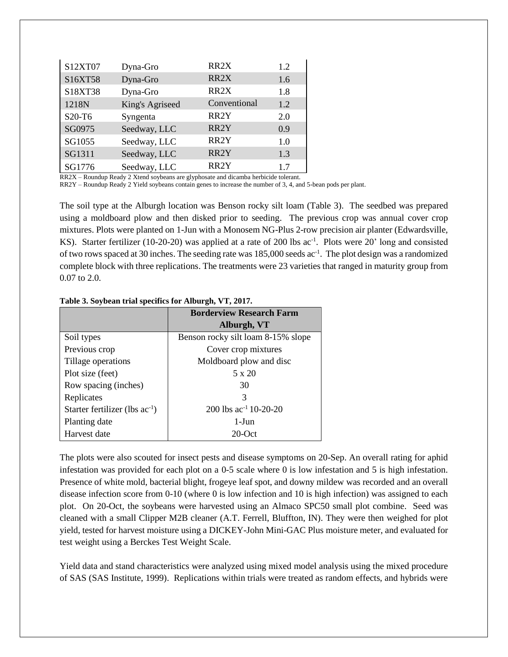| S12XT07 | Dyna-Gro        | RR <sub>2</sub> X | 1.2 |
|---------|-----------------|-------------------|-----|
| S16XT58 | Dyna-Gro        | RR <sub>2</sub> X | 1.6 |
| S18XT38 | Dyna-Gro        | RR <sub>2</sub> X | 1.8 |
| 1218N   | King's Agriseed | Conventional      | 1.2 |
| S20-T6  | Syngenta        | RR <sub>2</sub> Y | 2.0 |
| SG0975  | Seedway, LLC    | RR <sub>2</sub> Y | 0.9 |
| SG1055  | Seedway, LLC    | RR <sub>2</sub> Y | 1.0 |
| SG1311  | Seedway, LLC    | RR <sub>2</sub> Y | 1.3 |
| SG1776  | Seedway, LLC    | RR <sub>2</sub> Y | 1.7 |

RR2X – Roundup Ready 2 Xtend soybeans are glyphosate and dicamba herbicide tolerant.

RR2Y – Roundup Ready 2 Yield soybeans contain genes to increase the number of 3, 4, and 5-bean pods per plant.

The soil type at the Alburgh location was Benson rocky silt loam (Table 3). The seedbed was prepared using a moldboard plow and then disked prior to seeding. The previous crop was annual cover crop mixtures. Plots were planted on 1-Jun with a Monosem NG-Plus 2-row precision air planter (Edwardsville, KS). Starter fertilizer (10-20-20) was applied at a rate of 200 lbs ac<sup>-1</sup>. Plots were 20' long and consisted of two rows spaced at 30 inches. The seeding rate was 185,000 seeds ac<sup>-1</sup>. The plot design was a randomized complete block with three replications. The treatments were 23 varieties that ranged in maturity group from 0.07 to 2.0.

|                                     | <b>Borderview Research Farm</b>    |
|-------------------------------------|------------------------------------|
|                                     | Alburgh, VT                        |
| Soil types                          | Benson rocky silt loam 8-15% slope |
| Previous crop                       | Cover crop mixtures                |
| Tillage operations                  | Moldboard plow and disc            |
| Plot size (feet)                    | 5 x 20                             |
| Row spacing (inches)                | 30                                 |
| Replicates                          | 3                                  |
| Starter fertilizer (lbs $ac^{-1}$ ) | 200 lbs ac <sup>-1</sup> 10-20-20  |
| Planting date                       | $1-J$ un                           |
| Harvest date                        | $20$ -Oct                          |

**Table 3. Soybean trial specifics for Alburgh, VT, 2017.**

The plots were also scouted for insect pests and disease symptoms on 20-Sep. An overall rating for aphid infestation was provided for each plot on a 0-5 scale where 0 is low infestation and 5 is high infestation. Presence of white mold, bacterial blight, frogeye leaf spot, and downy mildew was recorded and an overall disease infection score from 0-10 (where 0 is low infection and 10 is high infection) was assigned to each plot. On 20-Oct, the soybeans were harvested using an Almaco SPC50 small plot combine. Seed was cleaned with a small Clipper M2B cleaner (A.T. Ferrell, Bluffton, IN). They were then weighed for plot yield, tested for harvest moisture using a DICKEY-John Mini-GAC Plus moisture meter, and evaluated for test weight using a Berckes Test Weight Scale.

Yield data and stand characteristics were analyzed using mixed model analysis using the mixed procedure of SAS (SAS Institute, 1999). Replications within trials were treated as random effects, and hybrids were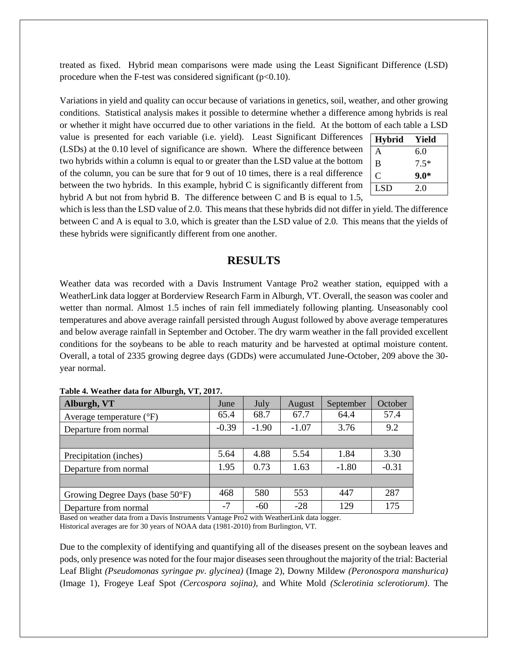treated as fixed. Hybrid mean comparisons were made using the Least Significant Difference (LSD) procedure when the F-test was considered significant  $(p<0.10)$ .

Variations in yield and quality can occur because of variations in genetics, soil, weather, and other growing conditions. Statistical analysis makes it possible to determine whether a difference among hybrids is real or whether it might have occurred due to other variations in the field. At the bottom of each table a LSD

value is presented for each variable (i.e. yield). Least Significant Differences (LSDs) at the 0.10 level of significance are shown. Where the difference between two hybrids within a column is equal to or greater than the LSD value at the bottom of the column, you can be sure that for 9 out of 10 times, there is a real difference between the two hybrids. In this example, hybrid C is significantly different from hybrid A but not from hybrid B. The difference between C and B is equal to 1.5,

| <b>Hybrid</b> | Yield  |
|---------------|--------|
| A             | 6.0    |
| B             | $7.5*$ |
| ( `           | $9.0*$ |
| <b>LSD</b>    | 2.0    |

which is less than the LSD value of 2.0. This means that these hybrids did not differ in yield. The difference between C and A is equal to 3.0, which is greater than the LSD value of 2.0. This means that the yields of these hybrids were significantly different from one another.

## **RESULTS**

Weather data was recorded with a Davis Instrument Vantage Pro2 weather station, equipped with a WeatherLink data logger at Borderview Research Farm in Alburgh, VT. Overall, the season was cooler and wetter than normal. Almost 1.5 inches of rain fell immediately following planting. Unseasonably cool temperatures and above average rainfall persisted through August followed by above average temperatures and below average rainfall in September and October. The dry warm weather in the fall provided excellent conditions for the soybeans to be able to reach maturity and be harvested at optimal moisture content. Overall, a total of 2335 growing degree days (GDDs) were accumulated June-October, 209 above the 30 year normal.

| $\bullet$<br>Alburgh, VT            | June    | July    | August  | September | October |
|-------------------------------------|---------|---------|---------|-----------|---------|
| Average temperature $({}^{\circ}F)$ | 65.4    | 68.7    | 67.7    | 64.4      | 57.4    |
| Departure from normal               | $-0.39$ | $-1.90$ | $-1.07$ | 3.76      | 9.2     |
|                                     |         |         |         |           |         |
| Precipitation (inches)              | 5.64    | 4.88    | 5.54    | 1.84      | 3.30    |
| Departure from normal               | 1.95    | 0.73    | 1.63    | $-1.80$   | $-0.31$ |
|                                     |         |         |         |           |         |
| Growing Degree Days (base 50°F)     | 468     | 580     | 553     | 447       | 287     |
| Departure from normal               | $-7$    | $-60$   | $-28$   | 129       | 175     |

|  |  | Table 4. Weather data for Alburgh, VT, 2017. |  |
|--|--|----------------------------------------------|--|

Based on weather data from a Davis Instruments Vantage Pro2 with WeatherLink data logger. Historical averages are for 30 years of NOAA data (1981-2010) from Burlington, VT.

Due to the complexity of identifying and quantifying all of the diseases present on the soybean leaves and pods, only presence was noted for the four major diseases seen throughout the majority of the trial: Bacterial Leaf Blight *(Pseudomonas syringae pv. glycinea)* (Image 2), Downy Mildew *(Peronospora manshurica)* (Image 1), Frogeye Leaf Spot *(Cercospora sojina)*, and White Mold *(Sclerotinia sclerotiorum)*. The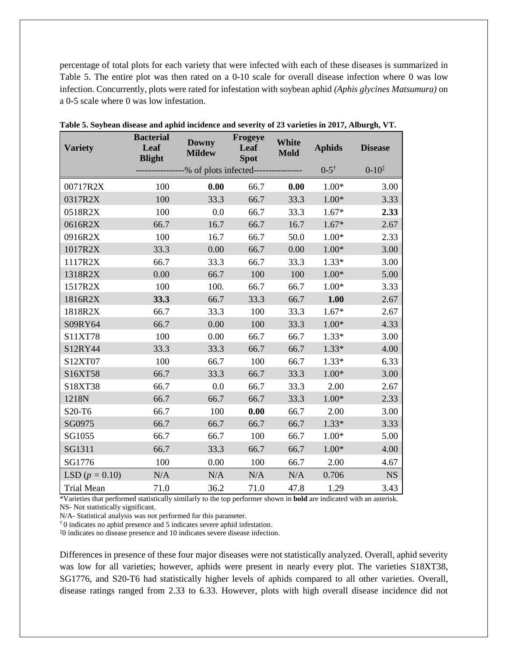percentage of total plots for each variety that were infected with each of these diseases is summarized in Table 5. The entire plot was then rated on a 0-10 scale for overall disease infection where 0 was low infection. Concurrently, plots were rated for infestation with soybean aphid *(Aphis glycines Matsumura)* on a 0-5 scale where 0 was low infestation.

| <b>Variety</b>     | <b>Bacterial</b><br>Leaf<br><b>Blight</b> | <b>Downy</b><br><b>Mildew</b>                      | Frogeye<br>Leaf<br><b>Spot</b> | <b>White</b><br><b>Mold</b> | <b>Aphids</b>      | <b>Disease</b>      |
|--------------------|-------------------------------------------|----------------------------------------------------|--------------------------------|-----------------------------|--------------------|---------------------|
|                    |                                           | ---------------% of plots infected---------------- |                                |                             | $0-5$ <sup>†</sup> | $0 - 10^{\ddagger}$ |
| 00717R2X           | 100                                       | 0.00                                               | 66.7                           | 0.00                        | $1.00*$            | 3.00                |
| 0317R2X            | 100                                       | 33.3                                               | 66.7                           | 33.3                        | $1.00*$            | 3.33                |
| 0518R2X            | 100                                       | 0.0                                                | 66.7                           | 33.3                        | $1.67*$            | 2.33                |
| 0616R2X            | 66.7                                      | 16.7                                               | 66.7                           | 16.7                        | $1.67*$            | 2.67                |
| 0916R2X            | 100                                       | 16.7                                               | 66.7                           | 50.0                        | $1.00*$            | 2.33                |
| 1017R2X            | 33.3                                      | 0.00                                               | 66.7                           | 0.00                        | $1.00*$            | 3.00                |
| 1117R2X            | 66.7                                      | 33.3                                               | 66.7                           | 33.3                        | $1.33*$            | 3.00                |
| 1318R2X            | 0.00                                      | 66.7                                               | 100                            | 100                         | $1.00*$            | 5.00                |
| 1517R2X            | 100                                       | 100.                                               | 66.7                           | 66.7                        | $1.00*$            | 3.33                |
| 1816R2X            | 33.3                                      | 66.7                                               | 33.3                           | 66.7                        | 1.00               | 2.67                |
| 1818R2X            | 66.7                                      | 33.3                                               | 100                            | 33.3                        | $1.67*$            | 2.67                |
| S09RY64            | 66.7                                      | 0.00                                               | 100                            | 33.3                        | $1.00*$            | 4.33                |
| S11XT78            | 100                                       | 0.00                                               | 66.7                           | 66.7                        | $1.33*$            | 3.00                |
| S12RY44            | 33.3                                      | 33.3                                               | 66.7                           | 66.7                        | $1.33*$            | 4.00                |
| S12XT07            | 100                                       | 66.7                                               | 100                            | 66.7                        | $1.33*$            | 6.33                |
| S16XT58            | 66.7                                      | 33.3                                               | 66.7                           | 33.3                        | $1.00*$            | 3.00                |
| S18XT38            | 66.7                                      | 0.0                                                | 66.7                           | 33.3                        | 2.00               | 2.67                |
| 1218N              | 66.7                                      | 66.7                                               | 66.7                           | 33.3                        | $1.00*$            | 2.33                |
| S20-T6             | 66.7                                      | 100                                                | 0.00                           | 66.7                        | 2.00               | 3.00                |
| SG0975             | 66.7                                      | 66.7                                               | 66.7                           | 66.7                        | $1.33*$            | 3.33                |
| SG1055             | 66.7                                      | 66.7                                               | 100                            | 66.7                        | $1.00*$            | 5.00                |
| SG1311             | 66.7                                      | 33.3                                               | 66.7                           | 66.7                        | $1.00*$            | 4.00                |
| SG1776             | 100                                       | 0.00                                               | 100                            | 66.7                        | 2.00               | 4.67                |
| LSD ( $p = 0.10$ ) | N/A                                       | N/A                                                | N/A                            | N/A                         | 0.706              | <b>NS</b>           |
| <b>Trial Mean</b>  | 71.0                                      | 36.2                                               | 71.0                           | 47.8                        | 1.29               | 3.43                |

**Table 5. Soybean disease and aphid incidence and severity of 23 varieties in 2017, Alburgh, VT.**

\*Varieties that performed statistically similarly to the top performer shown in **bold** are indicated with an asterisk. NS- Not statistically significant.

N/A- Statistical analysis was not performed for this parameter.

† 0 indicates no aphid presence and 5 indicates severe aphid infestation.

‡0 indicates no disease presence and 10 indicates severe disease infection.

Differences in presence of these four major diseases were not statistically analyzed. Overall, aphid severity was low for all varieties; however, aphids were present in nearly every plot. The varieties S18XT38, SG1776, and S20-T6 had statistically higher levels of aphids compared to all other varieties. Overall, disease ratings ranged from 2.33 to 6.33. However, plots with high overall disease incidence did not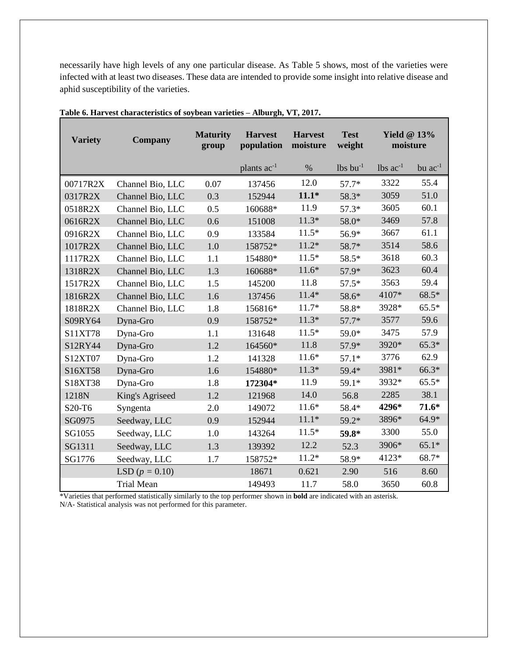necessarily have high levels of any one particular disease. As Table 5 shows, most of the varieties were infected with at least two diseases. These data are intended to provide some insight into relative disease and aphid susceptibility of the varieties.

| <b>Variety</b> | <b>Company</b>     | <b>Maturity</b><br>group | <b>Harvest</b><br>population | <b>Harvest</b><br>moisture | <b>Test</b><br>weight  | Yield $@13\%$<br>moisture |              |
|----------------|--------------------|--------------------------|------------------------------|----------------------------|------------------------|---------------------------|--------------|
|                |                    |                          | plants $ac^{-1}$             | $\%$                       | $lbs$ bu <sup>-1</sup> | $lbs$ ac <sup>-1</sup>    | bu $ac^{-1}$ |
| 00717R2X       | Channel Bio, LLC   | 0.07                     | 137456                       | 12.0                       | $57.7*$                | 3322                      | 55.4         |
| 0317R2X        | Channel Bio, LLC   | 0.3                      | 152944                       | $11.1*$                    | 58.3*                  | 3059                      | 51.0         |
| 0518R2X        | Channel Bio, LLC   | 0.5                      | 160688*                      | 11.9                       | $57.3*$                | 3605                      | 60.1         |
| 0616R2X        | Channel Bio, LLC   | 0.6                      | 151008                       | $11.3*$                    | 58.0*                  | 3469                      | 57.8         |
| 0916R2X        | Channel Bio, LLC   | 0.9                      | 133584                       | $11.5*$                    | 56.9*                  | 3667                      | 61.1         |
| 1017R2X        | Channel Bio, LLC   | 1.0                      | 158752*                      | $11.2*$                    | 58.7*                  | 3514                      | 58.6         |
| 1117R2X        | Channel Bio, LLC   | 1.1                      | 154880*                      | $11.5*$                    | 58.5*                  | 3618                      | 60.3         |
| 1318R2X        | Channel Bio, LLC   | 1.3                      | 160688*                      | $11.6*$                    | 57.9*                  | 3623                      | 60.4         |
| 1517R2X        | Channel Bio, LLC   | 1.5                      | 145200                       | 11.8                       | $57.5*$                | 3563                      | 59.4         |
| 1816R2X        | Channel Bio, LLC   | 1.6                      | 137456                       | $11.4*$                    | 58.6*                  | 4107*                     | $68.5*$      |
| 1818R2X        | Channel Bio, LLC   | 1.8                      | 156816*                      | $11.7*$                    | 58.8*                  | 3928*                     | $65.5*$      |
| S09RY64        | Dyna-Gro           | 0.9                      | 158752*                      | $11.3*$                    | $57.7*$                | 3577                      | 59.6         |
| S11XT78        | Dyna-Gro           | 1.1                      | 131648                       | $11.5*$                    | 59.0*                  | 3475                      | 57.9         |
| S12RY44        | Dyna-Gro           | 1.2                      | 164560*                      | 11.8                       | 57.9*                  | 3920*                     | $65.3*$      |
| S12XT07        | Dyna-Gro           | 1.2                      | 141328                       | $11.6*$                    | $57.1*$                | 3776                      | 62.9         |
| S16XT58        | Dyna-Gro           | 1.6                      | 154880*                      | $11.3*$                    | 59.4*                  | 3981*                     | 66.3*        |
| S18XT38        | Dyna-Gro           | 1.8                      | 172304*                      | 11.9                       | $59.1*$                | 3932*                     | $65.5*$      |
| 1218N          | King's Agriseed    | 1.2                      | 121968                       | 14.0                       | 56.8                   | 2285                      | 38.1         |
| S20-T6         | Syngenta           | 2.0                      | 149072                       | $11.6*$                    | 58.4*                  | 4296*                     | $71.6*$      |
| SG0975         | Seedway, LLC       | 0.9                      | 152944                       | $11.1*$                    | $59.2*$                | 3896*                     | $64.9*$      |
| SG1055         | Seedway, LLC       | 1.0                      | 143264                       | $11.5*$                    | 59.8*                  | 3300                      | 55.0         |
| SG1311         | Seedway, LLC       | 1.3                      | 139392                       | 12.2                       | 52.3                   | 3906*                     | $65.1*$      |
| SG1776         | Seedway, LLC       | 1.7                      | 158752*                      | $11.2*$                    | 58.9*                  | 4123*                     | 68.7*        |
|                | LSD ( $p = 0.10$ ) |                          | 18671                        | 0.621                      | 2.90                   | 516                       | 8.60         |
|                | <b>Trial Mean</b>  |                          | 149493                       | 11.7                       | 58.0                   | 3650                      | 60.8         |

**Table 6. Harvest characteristics of soybean varieties – Alburgh, VT, 2017.**

\*Varieties that performed statistically similarly to the top performer shown in **bold** are indicated with an asterisk. N/A- Statistical analysis was not performed for this parameter.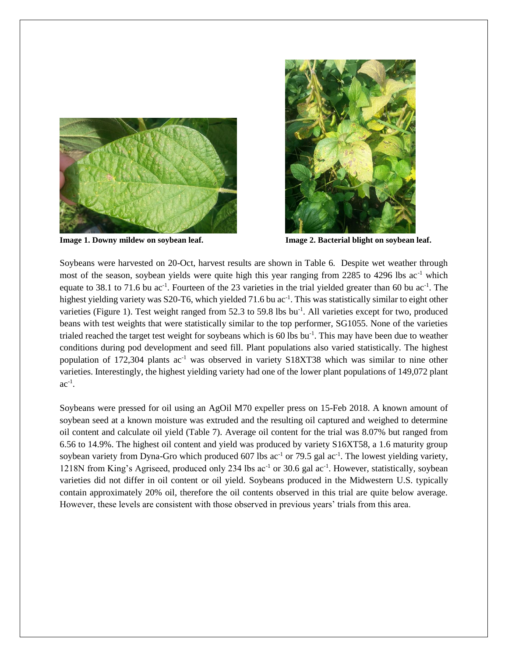



**Image 1. Downy mildew on soybean leaf. Image 2. Bacterial blight on soybean leaf.**

Soybeans were harvested on 20-Oct, harvest results are shown in Table 6. Despite wet weather through most of the season, soybean yields were quite high this year ranging from 2285 to 4296 lbs  $ac^{-1}$  which equate to 38.1 to 71.6 bu  $ac^{-1}$ . Fourteen of the 23 varieties in the trial yielded greater than 60 bu  $ac^{-1}$ . The highest yielding variety was S20-T6, which yielded 71.6 bu ac<sup>-1</sup>. This was statistically similar to eight other varieties (Figure 1). Test weight ranged from 52.3 to 59.8 lbs bu<sup>-1</sup>. All varieties except for two, produced beans with test weights that were statistically similar to the top performer, SG1055. None of the varieties trialed reached the target test weight for soybeans which is 60 lbs bu<sup>-1</sup>. This may have been due to weather conditions during pod development and seed fill. Plant populations also varied statistically. The highest population of 172,304 plants ac<sup>-1</sup> was observed in variety S18XT38 which was similar to nine other varieties. Interestingly, the highest yielding variety had one of the lower plant populations of 149,072 plant  $ac^{-1}$ .

Soybeans were pressed for oil using an AgOil M70 expeller press on 15-Feb 2018. A known amount of soybean seed at a known moisture was extruded and the resulting oil captured and weighed to determine oil content and calculate oil yield (Table 7). Average oil content for the trial was 8.07% but ranged from 6.56 to 14.9%. The highest oil content and yield was produced by variety S16XT58, a 1.6 maturity group soybean variety from Dyna-Gro which produced 607 lbs  $ac^{-1}$  or 79.5 gal  $ac^{-1}$ . The lowest yielding variety, 1218N from King's Agriseed, produced only 234 lbs ac<sup>-1</sup> or 30.6 gal ac<sup>-1</sup>. However, statistically, soybean varieties did not differ in oil content or oil yield. Soybeans produced in the Midwestern U.S. typically contain approximately 20% oil, therefore the oil contents observed in this trial are quite below average. However, these levels are consistent with those observed in previous years' trials from this area.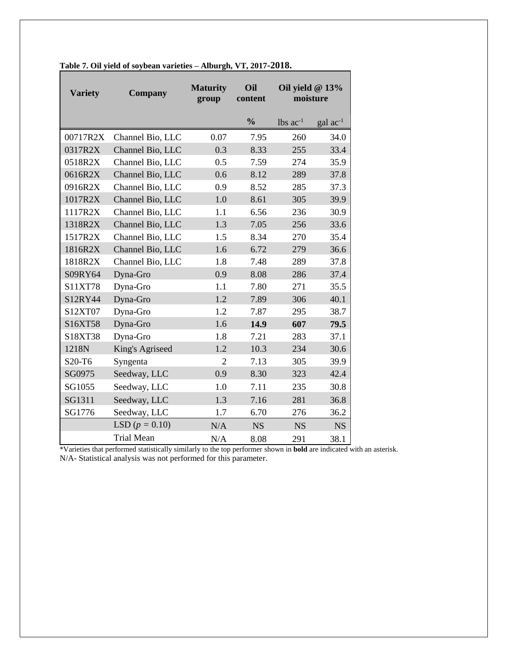| <b>Variety</b> | <b>Company</b>    | <b>Maturity</b><br>group | Oil<br>content | Oil yield @ 13%<br>moisture   |                            |
|----------------|-------------------|--------------------------|----------------|-------------------------------|----------------------------|
|                |                   |                          | $\frac{0}{0}$  | $\text{ lbs } \text{ac}^{-1}$ | $\rm gal$ ac <sup>-1</sup> |
| 00717R2X       | Channel Bio, LLC  | 0.07                     | 7.95           | 260                           | 34.0                       |
| 0317R2X        | Channel Bio, LLC  | 0.3                      | 8.33           | 255                           | 33.4                       |
| 0518R2X        | Channel Bio, LLC  | 0.5                      | 7.59           | 274                           | 35.9                       |
| 0616R2X        | Channel Bio, LLC  | 0.6                      | 8.12           | 289                           | 37.8                       |
| 0916R2X        | Channel Bio, LLC  | 0.9                      | 8.52           | 285                           | 37.3                       |
| 1017R2X        | Channel Bio, LLC  | 1.0                      | 8.61           | 305                           | 39.9                       |
| 1117R2X        | Channel Bio, LLC  | 1.1                      | 6.56           | 236                           | 30.9                       |
| 1318R2X        | Channel Bio, LLC  | 1.3                      | 7.05           | 256                           | 33.6                       |
| 1517R2X        | Channel Bio, LLC  | 1.5                      | 8.34           | 270                           | 35.4                       |
| 1816R2X        | Channel Bio, LLC  | 1.6                      | 6.72           | 279                           | 36.6                       |
| 1818R2X        | Channel Bio, LLC  | 1.8                      | 7.48           | 289                           | 37.8                       |
| S09RY64        | Dyna-Gro          | 0.9                      | 8.08           | 286                           | 37.4                       |
| S11XT78        | Dyna-Gro          | 1.1                      | 7.80           | 271                           | 35.5                       |
| S12RY44        | Dyna-Gro          | 1.2                      | 7.89           | 306                           | 40.1                       |
| S12XT07        | Dyna-Gro          | 1.2                      | 7.87           | 295                           | 38.7                       |
| S16XT58        | Dyna-Gro          | 1.6                      | 14.9           | 607                           | 79.5                       |
| S18XT38        | Dyna-Gro          | 1.8                      | 7.21           | 283                           | 37.1                       |
| 1218N          | King's Agriseed   | 1.2                      | 10.3           | 234                           | 30.6                       |
| S20-T6         | Syngenta          | $\overline{2}$           | 7.13           | 305                           | 39.9                       |
| SG0975         | Seedway, LLC      | 0.9                      | 8.30           | 323                           | 42.4                       |
| SG1055         | Seedway, LLC      | 1.0                      | 7.11           | 235                           | 30.8                       |
| SG1311         | Seedway, LLC      | 1.3                      | 7.16           | 281                           | 36.8                       |
| SG1776         | Seedway, LLC      | 1.7                      | 6.70           | 276                           | 36.2                       |
|                | LSD $(p = 0.10)$  | N/A                      | <b>NS</b>      | <b>NS</b>                     | <b>NS</b>                  |
|                | <b>Trial Mean</b> | N/A                      | 8.08           | 291                           | 38.1                       |

**Table 7. Oil yield of soybean varieties – Alburgh, VT, 2017-2018.**

\*Varieties that performed statistically similarly to the top performer shown in **bold** are indicated with an asterisk. N/A- Statistical analysis was not performed for this parameter.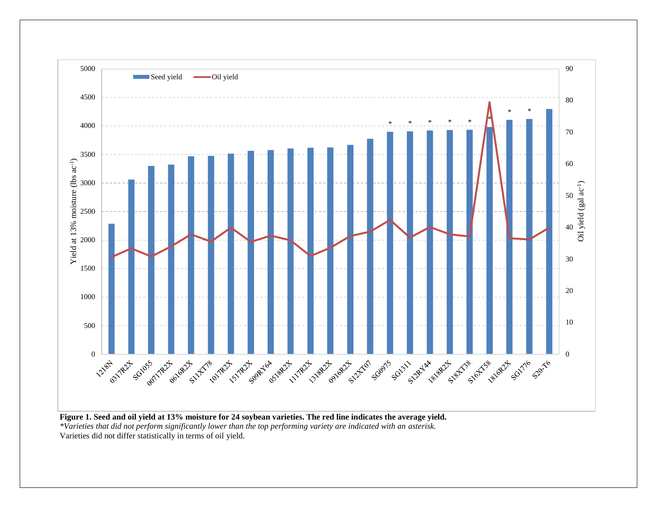

**Figure 1. Seed and oil yield at 13% moisture for 24 soybean varieties. The red line indicates the average yield.** *\*Varieties that did not perform significantly lower than the top performing variety are indicated with an asterisk.* Varieties did not differ statistically in terms of oil yield.